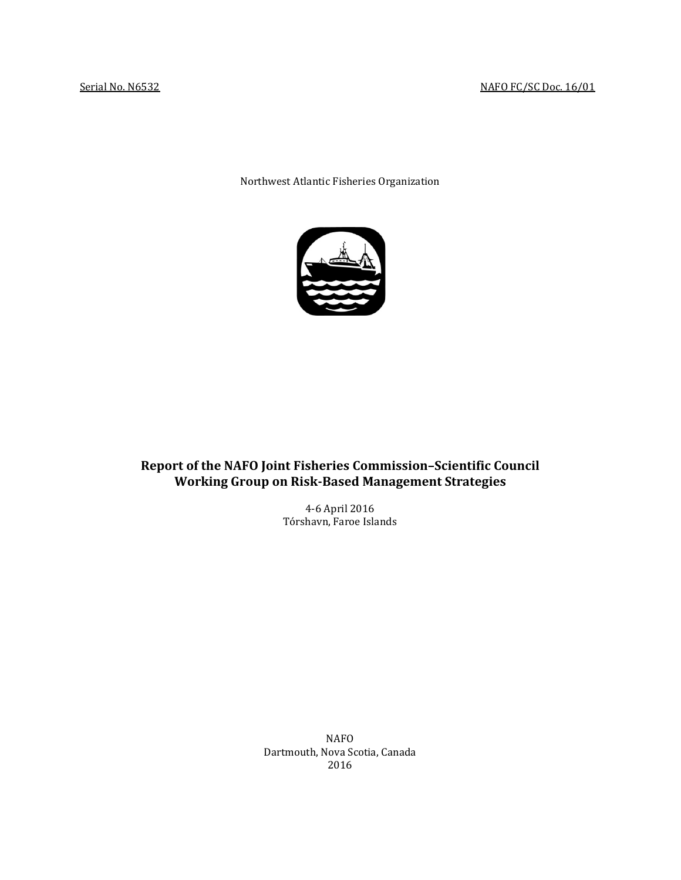Northwest Atlantic Fisheries Organization



# **Report of the NAFO Joint Fisheries Commission–Scientific Council Working Group on Risk-Based Management Strategies**

4-6 April 2016 Tórshavn, Faroe Islands

NAFO Dartmouth, Nova Scotia, Canada 2016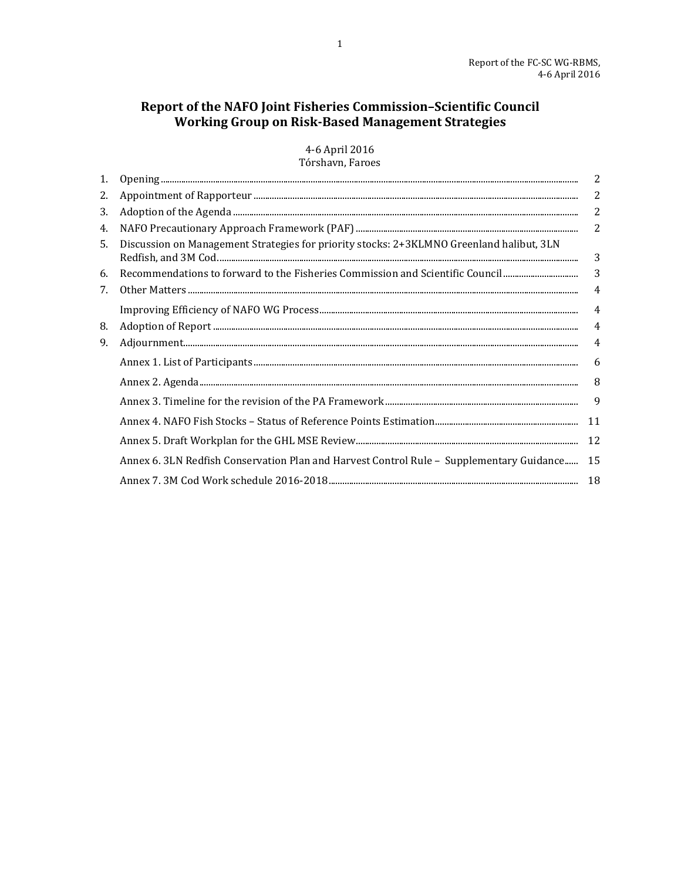# Report of the NAFO Joint Fisheries Commission-Scientific Council **The Marine Commission Science Commission Science Co.**<br>Working Group on Risk-Based Management Strategies

4-6 April 2016 Tórshavn, Faroes

| 1. |                                                                                          | 2              |
|----|------------------------------------------------------------------------------------------|----------------|
| 2. |                                                                                          | $\overline{c}$ |
| 3. |                                                                                          | $\overline{2}$ |
| 4. |                                                                                          | $\overline{2}$ |
| 5. | Discussion on Management Strategies for priority stocks: 2+3KLMNO Greenland halibut, 3LN | 3              |
| 6. | Recommendations to forward to the Fisheries Commission and Scientific Council            | 3              |
| 7. |                                                                                          | 4              |
|    |                                                                                          | $\overline{4}$ |
| 8. |                                                                                          | 4              |
| 9. |                                                                                          | 4              |
|    |                                                                                          | 6              |
|    |                                                                                          | 8              |
|    |                                                                                          | 9              |
|    |                                                                                          | 11             |
|    |                                                                                          | 12             |
|    | Annex 6. 3LN Redfish Conservation Plan and Harvest Control Rule - Supplementary Guidance | 15             |
|    |                                                                                          |                |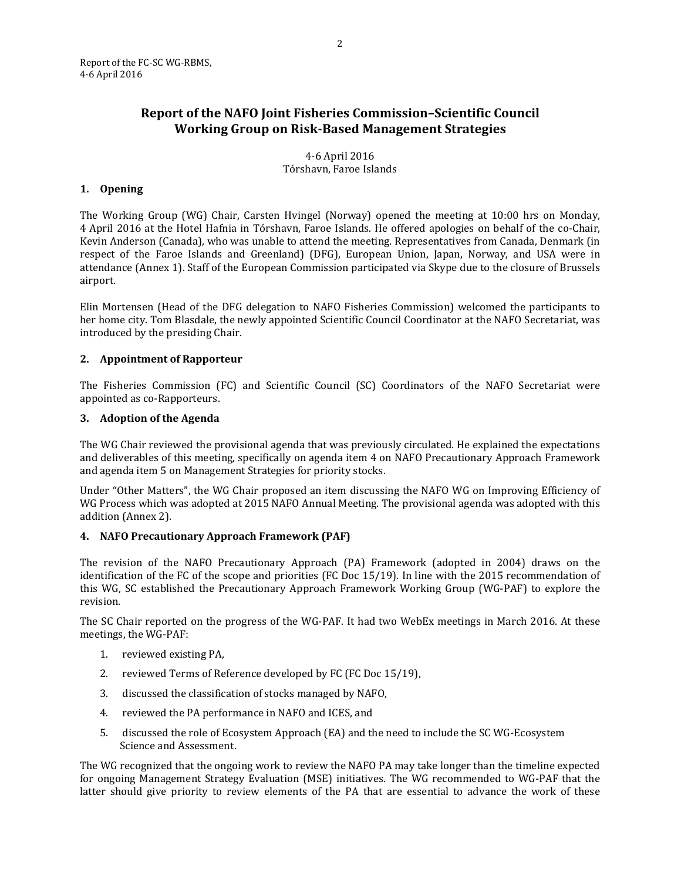# **Report of the NAFO Joint Fisheries Commission–Scientific Council Working Group on Risk-Based Management Strategies**

4-6 April 2016 Tórshavn, Faroe Islands

### <span id="page-2-0"></span>**1. Opening**

The Working Group (WG) Chair, Carsten Hvingel (Norway) opened the meeting at 10:00 hrs on Monday, 4 April 2016 at the Hotel Hafnia in Tórshavn, Faroe Islands. He offered apologies on behalf of the co-Chair, Kevin Anderson (Canada), who was unable to attend the meeting. Representatives from Canada, Denmark (in respect of the Faroe Islands and Greenland) (DFG), European Union, Japan, Norway, and USA were in attendance (Annex 1). Staff of the European Commission participated via Skype due to the closure of Brussels airport.

Elin Mortensen (Head of the DFG delegation to NAFO Fisheries Commission) welcomed the participants to her home city. Tom Blasdale, the newly appointed Scientific Council Coordinator at the NAFO Secretariat, was introduced by the presiding Chair.

### <span id="page-2-1"></span>**2. Appointment of Rapporteur**

The Fisheries Commission (FC) and Scientific Council (SC) Coordinators of the NAFO Secretariat were appointed as co-Rapporteurs.

#### <span id="page-2-2"></span>**3. Adoption of the Agenda**

The WG Chair reviewed the provisional agenda that was previously circulated. He explained the expectations and deliverables of this meeting, specifically on agenda item 4 on NAFO Precautionary Approach Framework and agenda item 5 on Management Strategies for priority stocks.

Under "Other Matters", the WG Chair proposed an item discussing the NAFO WG on Improving Efficiency of WG Process which was adopted at 2015 NAFO Annual Meeting. The provisional agenda was adopted with this addition (Annex 2).

### <span id="page-2-3"></span>**4. NAFO Precautionary Approach Framework (PAF)**

The revision of the NAFO Precautionary Approach (PA) Framework (adopted in 2004) draws on the identification of the FC of the scope and priorities (FC Doc 15/19). In line with the 2015 recommendation of this WG, SC established the Precautionary Approach Framework Working Group (WG-PAF) to explore the revision.

The SC Chair reported on the progress of the WG-PAF. It had two WebEx meetings in March 2016. At these meetings, the WG-PAF:

- 1. reviewed existing PA,
- 2. reviewed Terms of Reference developed by FC (FC Doc 15/19),
- 3. discussed the classification of stocks managed by NAFO,
- 4. reviewed the PA performance in NAFO and ICES, and
- 5. discussed the role of Ecosystem Approach (EA) and the need to include the SC WG-Ecosystem Science and Assessment.

The WG recognized that the ongoing work to review the NAFO PA may take longer than the timeline expected for ongoing Management Strategy Evaluation (MSE) initiatives. The WG recommended to WG-PAF that the latter should give priority to review elements of the PA that are essential to advance the work of these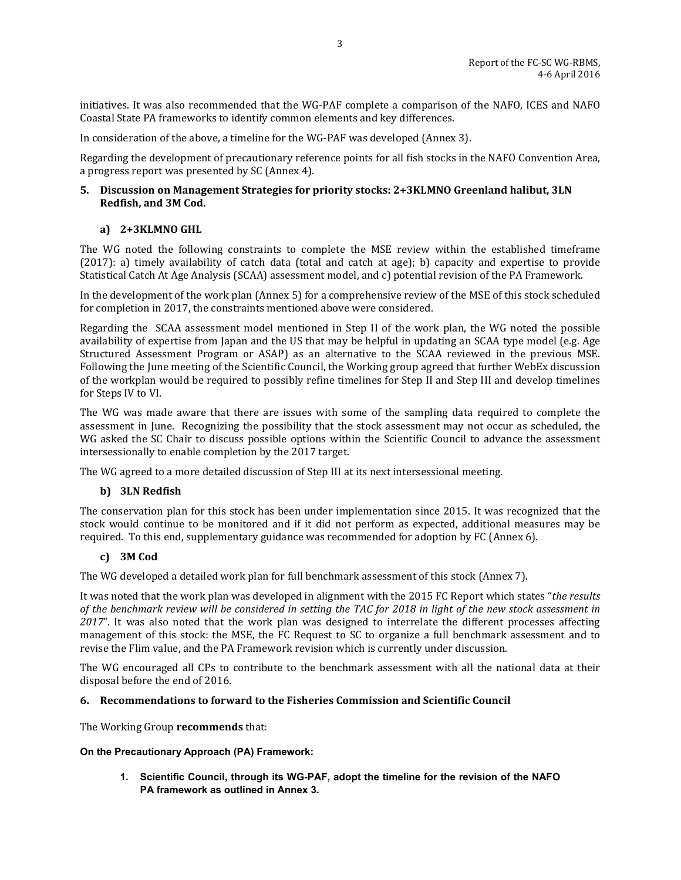initiatives. It was also recommended that the WG-PAF complete a comparison of the NAFO, ICES and NAFO Coastal State PA frameworks to identify common elements and key differences.

In consideration of the above, a timeline for the WG-PAF was developed (Annex 3).

Regarding the development of precautionary reference points for all fish stocks in the NAFO Convention Area, a progress report was presented by SC (Annex 4).

### <span id="page-3-0"></span>**5. Discussion on Management Strategies for priority stocks: 2+3KLMNO Greenland halibut, 3LN Redfish, and 3M Cod.**

## **a) 2+3KLMNO GHL**

The WG noted the following constraints to complete the MSE review within the established timeframe (2017): a) timely availability of catch data (total and catch at age); b) capacity and expertise to provide Statistical Catch At Age Analysis (SCAA) assessment model, and c) potential revision of the PA Framework.

In the development of the work plan (Annex 5) for a comprehensive review of the MSE of this stock scheduled for completion in 2017, the constraints mentioned above were considered.

Regarding the SCAA assessment model mentioned in Step II of the work plan, the WG noted the possible availability of expertise from Japan and the US that may be helpful in updating an SCAA type model (e.g. Age Structured Assessment Program or ASAP) as an alternative to the SCAA reviewed in the previous MSE. Following the June meeting of the Scientific Council, the Working group agreed that further WebEx discussion of the workplan would be required to possibly refine timelines for Step II and Step III and develop timelines for Steps IV to VI.

The WG was made aware that there are issues with some of the sampling data required to complete the assessment in June. Recognizing the possibility that the stock assessment may not occur as scheduled, the WG asked the SC Chair to discuss possible options within the Scientific Council to advance the assessment intersessionally to enable completion by the 2017 target.

The WG agreed to a more detailed discussion of Step III at its next intersessional meeting.

### **b) 3LN Redfish**

The conservation plan for this stock has been under implementation since 2015. It was recognized that the stock would continue to be monitored and if it did not perform as expected, additional measures may be required. To this end, supplementary guidance was recommended for adoption by FC (Annex 6).

### **c) 3M Cod**

The WG developed a detailed work plan for full benchmark assessment of this stock (Annex 7).

It was noted that the work plan was developed in alignment with the 2015 FC Report which states "*the results of the benchmark review will be considered in setting the TAC for 2018 in light of the new stock assessment in 2017*". It was also noted that the work plan was designed to interrelate the different processes affecting management of this stock: the MSE, the FC Request to SC to organize a full benchmark assessment and to revise the Flim value, and the PA Framework revision which is currently under discussion.

The WG encouraged all CPs to contribute to the benchmark assessment with all the national data at their disposal before the end of 2016.

### <span id="page-3-1"></span>**6. Recommendations to forward to the Fisheries Commission and Scientific Council**

The Working Group **recommends** that:

### **On the Precautionary Approach (PA) Framework:**

**1. Scientific Council, through its WG-PAF, adopt the timeline for the revision of the NAFO PA framework as outlined in Annex 3.**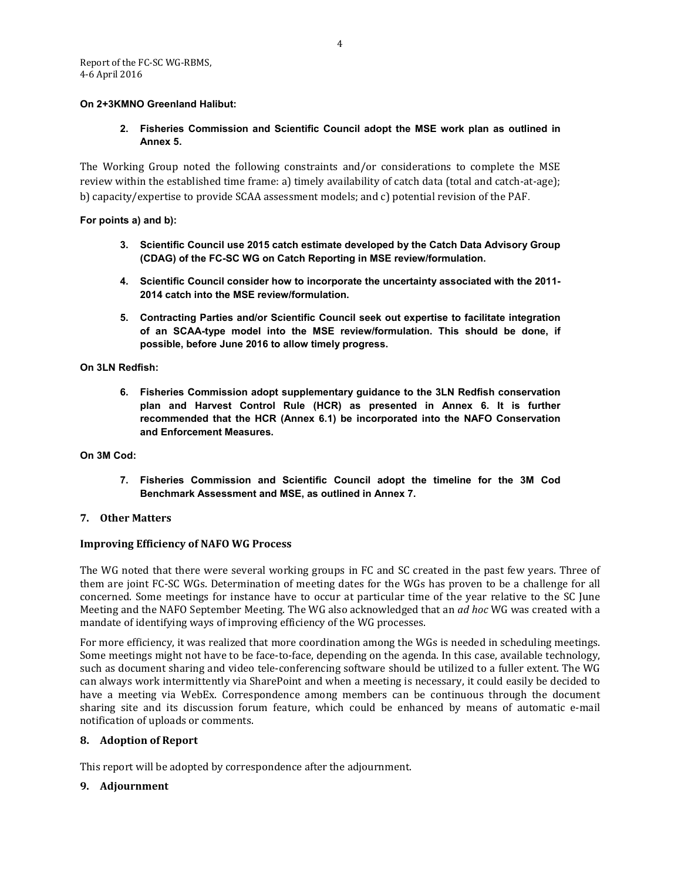### **On 2+3KMNO Greenland Halibut:**

## **2. Fisheries Commission and Scientific Council adopt the MSE work plan as outlined in Annex 5.**

The Working Group noted the following constraints and/or considerations to complete the MSE review within the established time frame: a) timely availability of catch data (total and catch-at-age); b) capacity/expertise to provide SCAA assessment models; and c) potential revision of the PAF.

**For points a) and b):**

- **3. Scientific Council use 2015 catch estimate developed by the Catch Data Advisory Group (CDAG) of the FC-SC WG on Catch Reporting in MSE review/formulation.**
- **4. Scientific Council consider how to incorporate the uncertainty associated with the 2011- 2014 catch into the MSE review/formulation.**
- **5. Contracting Parties and/or Scientific Council seek out expertise to facilitate integration of an SCAA-type model into the MSE review/formulation. This should be done, if possible, before June 2016 to allow timely progress.**

### **On 3LN Redfish:**

**6. Fisheries Commission adopt supplementary guidance to the 3LN Redfish conservation plan and Harvest Control Rule (HCR) as presented in Annex 6. It is further recommended that the HCR (Annex 6.1) be incorporated into the NAFO Conservation and Enforcement Measures.**

#### **On 3M Cod:**

**7. Fisheries Commission and Scientific Council adopt the timeline for the 3M Cod Benchmark Assessment and MSE, as outlined in Annex 7.**

### <span id="page-4-0"></span>**7. Other Matters**

### <span id="page-4-1"></span>**Improving Efficiency of NAFO WG Process**

The WG noted that there were several working groups in FC and SC created in the past few years. Three of them are joint FC-SC WGs. Determination of meeting dates for the WGs has proven to be a challenge for all concerned. Some meetings for instance have to occur at particular time of the year relative to the SC June Meeting and the NAFO September Meeting. The WG also acknowledged that an *ad hoc* WG was created with a mandate of identifying ways of improving efficiency of the WG processes.

For more efficiency, it was realized that more coordination among the WGs is needed in scheduling meetings. Some meetings might not have to be face-to-face, depending on the agenda. In this case, available technology, such as document sharing and video tele-conferencing software should be utilized to a fuller extent. The WG can always work intermittently via SharePoint and when a meeting is necessary, it could easily be decided to have a meeting via WebEx. Correspondence among members can be continuous through the document sharing site and its discussion forum feature, which could be enhanced by means of automatic e-mail notification of uploads or comments.

### <span id="page-4-2"></span>**8. Adoption of Report**

This report will be adopted by correspondence after the adjournment.

### <span id="page-4-3"></span>**9. Adjournment**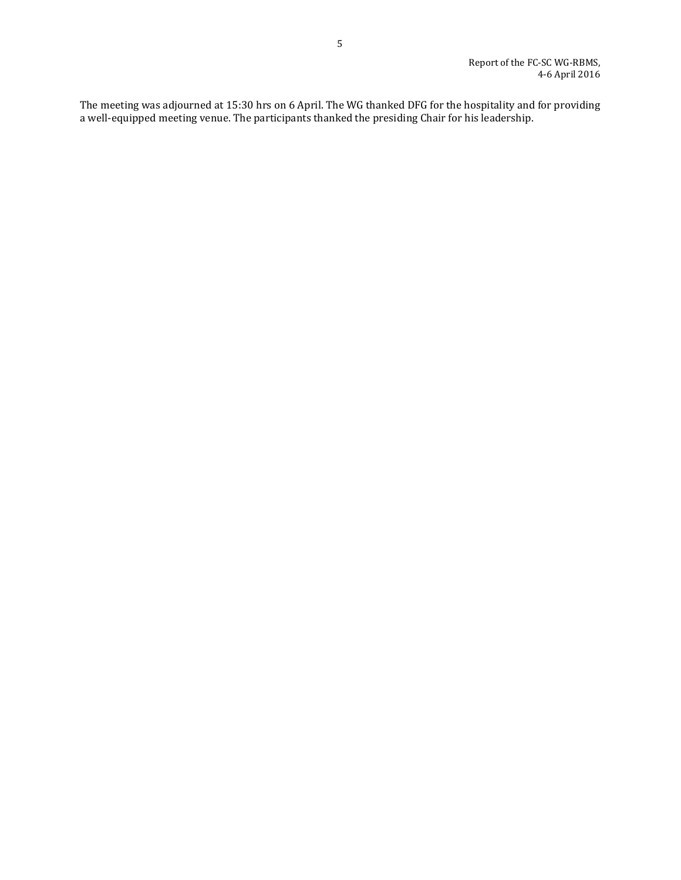The meeting was adjourned at 15:30 hrs on 6 April. The WG thanked DFG for the hospitality and for providing a well-equipped meeting venue. The participants thanked the presiding Chair for his leadership.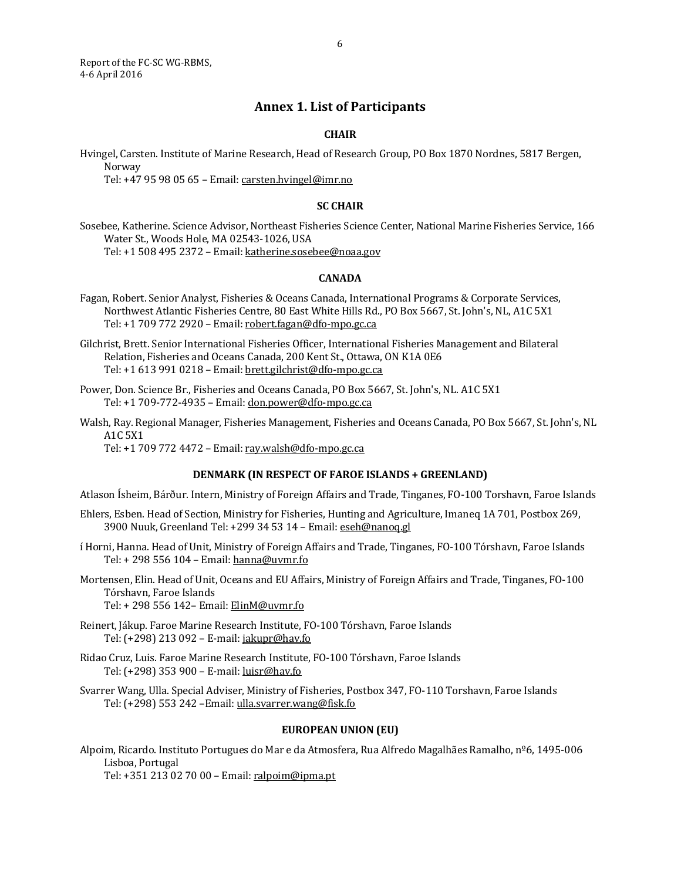<span id="page-6-0"></span>Report of the FC-SC WG-RBMS, 4-6 April 2016

# **Annex 1. List of Participants**

### **CHAIR**

Hvingel, Carsten. Institute of Marine Research, Head of Research Group, PO Box 1870 Nordnes, 5817 Bergen, Norway

Tel: +47 95 98 05 65 – Email[: carsten.hvingel@imr.no](mailto:carsten.hvingel@imr.no)

#### **SC CHAIR**

Sosebee, Katherine. Science Advisor, Northeast Fisheries Science Center, National Marine Fisheries Service, 166 Water St., Woods Hole, MA 02543-1026, USA Tel: +1 508 495 2372 – Email[: katherine.sosebee@noaa.gov](mailto:katherine.sosebee@noaa.gov)

### **CANADA**

Fagan, Robert. Senior Analyst, Fisheries & Oceans Canada, International Programs & Corporate Services, Northwest Atlantic Fisheries Centre, 80 East White Hills Rd., PO Box 5667, St. John's, NL, A1C 5X1 Tel: +1 709 772 2920 – Email[: robert.fagan@dfo-mpo.gc.ca](mailto:robert.fagan@dfo-mpo.gc.ca)

Gilchrist, Brett. Senior International Fisheries Officer, International Fisheries Management and Bilateral Relation, Fisheries and Oceans Canada, 200 Kent St., Ottawa, ON K1A 0E6 Tel: +1 613 991 0218 – Email[: brett.gilchrist@dfo-mpo.gc.ca](mailto:brett.gilchrist@dfo-mpo.gc.ca)

- Power, Don. Science Br., Fisheries and Oceans Canada, PO Box 5667, St. John's, NL. A1C 5X1 Tel: +1 709-772-4935 – Email: [don.power@dfo-mpo.gc.ca](mailto:don.power@dfo-mpo.gc.ca)
- Walsh, Ray. Regional Manager, Fisheries Management, Fisheries and Oceans Canada, PO Box 5667, St. John's, NL A1C 5X1

Tel: +1 709 772 4472 – Email[: ray.walsh@dfo-mpo.gc.ca](mailto:ray.walsh@dfo-mpo.gc.ca)

#### **DENMARK (IN RESPECT OF FAROE ISLANDS + GREENLAND)**

Atlason Ísheim, Bárður. Intern, Ministry of Foreign Affairs and Trade, Tinganes, FO-100 Torshavn, Faroe Islands

- Ehlers, Esben. Head of Section, Ministry for Fisheries, Hunting and Agriculture, Imaneq 1A 701, Postbox 269, 3900 Nuuk, Greenland Tel: +299 34 53 14 – Email: [eseh@nanoq.gl](mailto:eseh@nanoq.gl)
- í Horni, Hanna. Head of Unit, Ministry of Foreign Affairs and Trade, Tinganes, FO-100 Tórshavn, Faroe Islands Tel: + 298 556 104 – Email: [hanna@uvmr.fo](mailto:hanna@uvmr.fo)
- Mortensen, Elin. Head of Unit, Oceans and EU Affairs, Ministry of Foreign Affairs and Trade, Tinganes, FO-100 Tórshavn, Faroe Islands
	- Tel: + 298 556 142– Email: ElinM@uvmr.fo
- Reinert, Jákup. Faroe Marine Research Institute, FO-100 Tórshavn, Faroe Islands Tel: (+298) 213 092 – E-mail[: jakupr@hav.fo](mailto:jakupr@hav.fo)
- Ridao Cruz, Luis. Faroe Marine Research Institute, FO-100 Tórshavn, Faroe Islands Tel: (+298) 353 900 – E-mail[: luisr@hav.fo](mailto:luisr@hav.fo)
- Svarrer Wang, Ulla. Special Adviser, Ministry of Fisheries, Postbox 347, FO-110 Torshavn, Faroe Islands Tel: (+298) 553 242 - Email: [ulla.svarrer.wang@fisk.fo](mailto:ulla.svarrer.wang@fisk.fo)

#### **EUROPEAN UNION (EU)**

Alpoim, Ricardo. Instituto Portugues do Mar e da Atmosfera, Rua Alfredo Magalhães Ramalho, nº6, 1495-006 Lisboa, Portugal

Tel: +351 213 02 70 00 – Email[: ralpoim@ipma.pt](mailto:ralpoim@ipma.pt)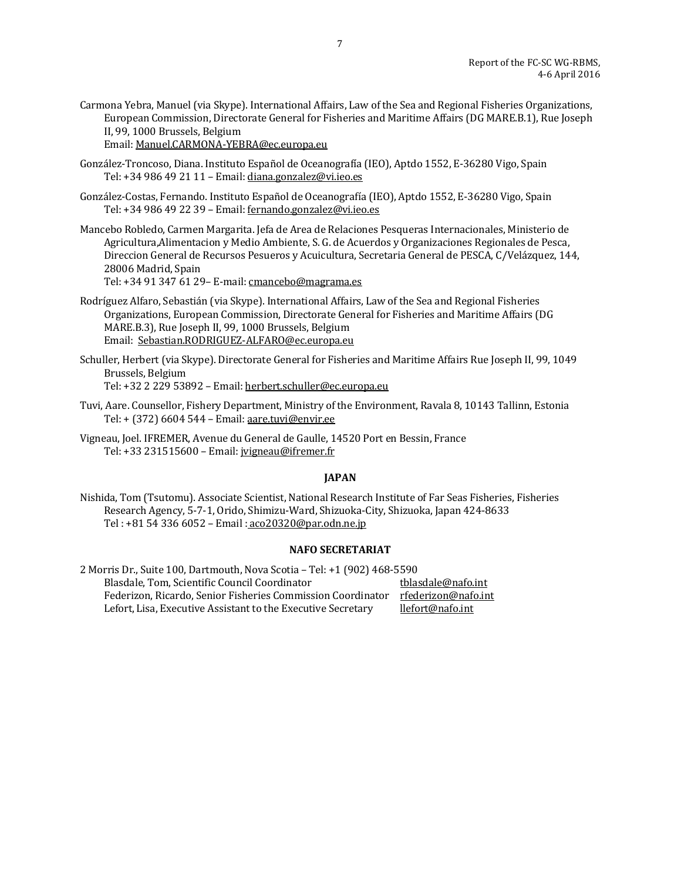Carmona Yebra, Manuel (via Skype). International Affairs, Law of the Sea and Regional Fisheries Organizations, European Commission, Directorate General for Fisheries and Maritime Affairs (DG MARE.B.1), Rue Joseph II, 99, 1000 Brussels, Belgium

Email[: Manuel.CARMONA-YEBRA@ec.europa.eu](mailto:Manuel.CARMONA-YEBRA@ec.europa.eu)

- González-Troncoso, Diana. Instituto Español de Oceanografía (IEO), Aptdo 1552, E-36280 Vigo, Spain Tel: +34 986 49 21 11 – Email: [diana.gonzalez@vi.ieo.es](mailto:diana.gonzalez@vi.ieo.es)
- González-Costas, Fernando. Instituto Español de Oceanografía (IEO), Aptdo 1552, E-36280 Vigo, Spain Tel: +34 986 49 22 39 – Email: [fernando.gonzalez@vi.ieo.es](mailto:fernando.gonzalez@vi.ieo.es)
- Mancebo Robledo, Carmen Margarita. Jefa de Area de Relaciones Pesqueras Internacionales, Ministerio de Agricultura,Alimentacion y Medio Ambiente, S. G. de Acuerdos y Organizaciones Regionales de Pesca, Direccion General de Recursos Pesueros y Acuicultura, Secretaria General de PESCA, C/Velázquez, 144, 28006 Madrid, Spain

Tel: +34 91 347 61 29– E-mail: [cmancebo@magrama.es](mailto:cmancebo@magrama.es)

- Rodríguez Alfaro, Sebastián (via Skype). International Affairs, Law of the Sea and Regional Fisheries Organizations, European Commission, Directorate General for Fisheries and Maritime Affairs (DG MARE.B.3), Rue Joseph II, 99, 1000 Brussels, Belgium Email: [Sebastian.RODRIGUEZ-ALFARO@ec.europa.eu](mailto:Sebastian.RODRIGUEZ-ALFARO@ec.europa.eu)
- Schuller, Herbert (via Skype). Directorate General for Fisheries and Maritime Affairs Rue Joseph II, 99, 1049 Brussels, Belgium Tel: +32 2 229 53892 – Email[: herbert.schuller@ec.europa.eu](mailto:herbert.schuller@ec.europa.eu)
- Tuvi, Aare. Counsellor, Fishery Department, Ministry of the Environment, Ravala 8, 10143 Tallinn, Estonia Tel: + (372) 6604 544 – Email[: aare.tuvi@envir.ee](mailto:aare.tuvi@envir.ee)
- Vigneau, Joel. IFREMER, Avenue du General de Gaulle, 14520 Port en Bessin, France Tel: +33 231515600 – Email[: jvigneau@ifremer.fr](mailto:jvigneau@ifremer.fr)

### **JAPAN**

Nishida, Tom (Tsutomu). Associate Scientist, National Research Institute of Far Seas Fisheries, Fisheries Research Agency, 5-7-1, Orido, Shimizu-Ward, Shizuoka-City, Shizuoka, Japan 424-8633 Tel : +81 54 336 6052 – Email : [aco20320@par.odn.ne.jp](file://File01/Word/Meeting%20Preparations/2016/2016%20WG-RBMS/2nd%20Draft/aco20320@par.odn.ne.jp)

#### **NAFO SECRETARIAT**

2 Morris Dr., Suite 100, Dartmouth, Nova Scotia – Tel: +1 (902) 468-5590 Blasdale, Tom, Scientific Council Coordinator the state of the solar thas the state of the Federizon Cordinato<br>Tederizon, Ricardo, Senior Fisheries Commission Coordinator rfederizon@nafo.int Federizon, Ricardo, Senior Fisheries Commission Coordinator rfederizon@nafo.<br>Lefort, Lisa, Executive Assistant to the Executive Secretary llefort@nafo.int Lefort, Lisa, Executive Assistant to the Executive Secretary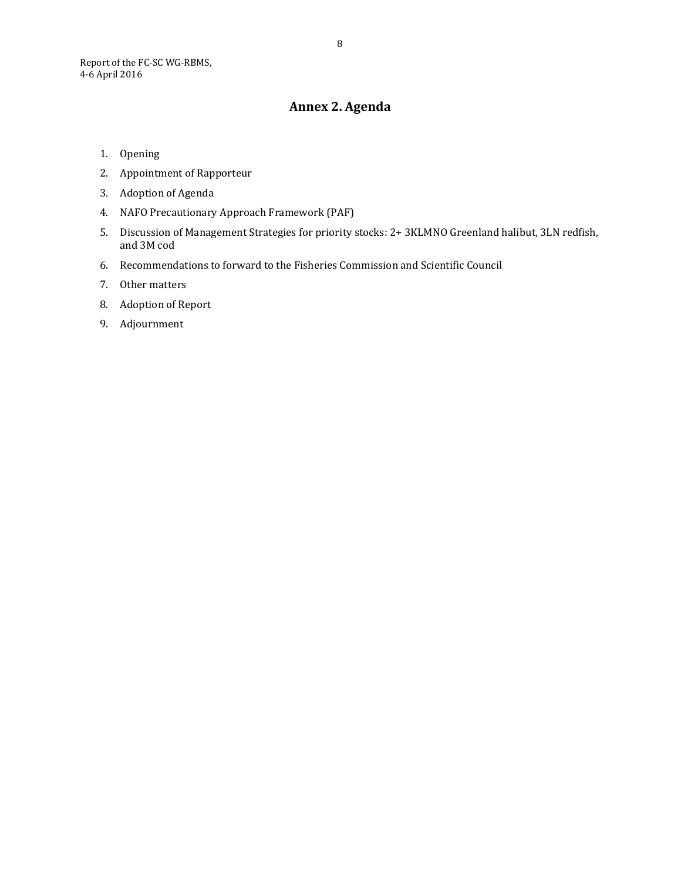# **Annex 2. Agenda**

- <span id="page-8-0"></span>1. Opening
- 2. Appointment of Rapporteur
- 3. Adoption of Agenda
- 4. NAFO Precautionary Approach Framework (PAF)
- 5. Discussion of Management Strategies for priority stocks: 2+ 3KLMNO Greenland halibut, 3LN redfish, and 3M cod
- 6. Recommendations to forward to the Fisheries Commission and Scientific Council
- 7. Other matters
- 8. Adoption of Report
- 9. Adjournment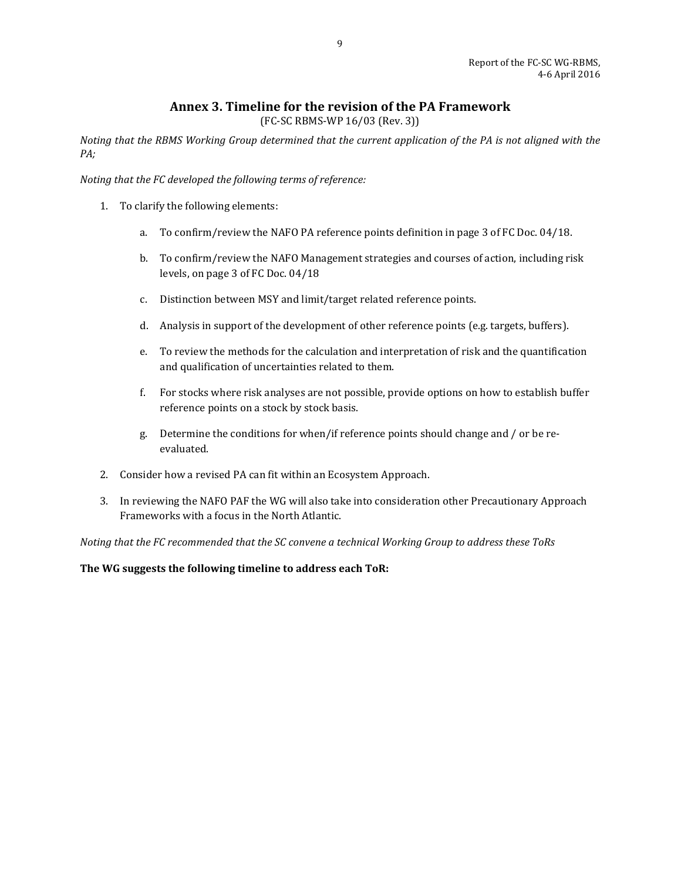# **Annex 3. Timeline for the revision of the PA Framework**

(FC-SC RBMS-WP 16/03 (Rev. 3))

<span id="page-9-0"></span>*Noting that the RBMS Working Group determined that the current application of the PA is not aligned with the PA;*

*Noting that the FC developed the following terms of reference:*

- 1. To clarify the following elements:
	- a. To confirm/review the NAFO PA reference points definition in page 3 of FC Doc. 04/18.
	- b. To confirm/review the NAFO Management strategies and courses of action, including risk levels, on page 3 of FC Doc. 04/18
	- c. Distinction between MSY and limit/target related reference points.
	- d. Analysis in support of the development of other reference points (e.g. targets, buffers).
	- e. To review the methods for the calculation and interpretation of risk and the quantification and qualification of uncertainties related to them.
	- f. For stocks where risk analyses are not possible, provide options on how to establish buffer reference points on a stock by stock basis.
	- g. Determine the conditions for when/if reference points should change and / or be reevaluated.
- 2. Consider how a revised PA can fit within an Ecosystem Approach.
- 3. In reviewing the NAFO PAF the WG will also take into consideration other Precautionary Approach Frameworks with a focus in the North Atlantic.

*Noting that the FC recommended that the SC convene a technical Working Group to address these ToRs*

**The WG suggests the following timeline to address each ToR:**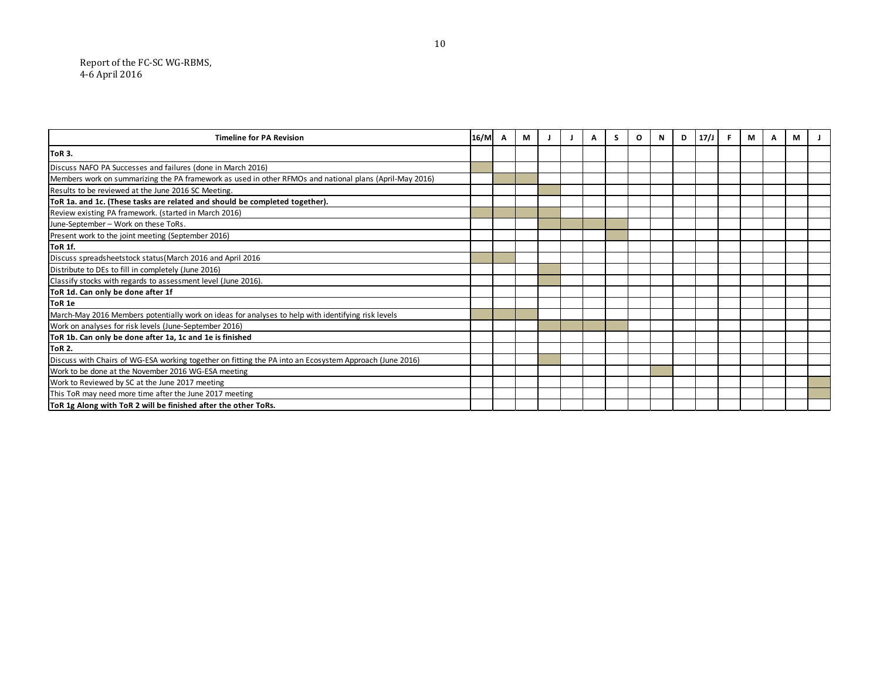| <b>Timeline for PA Revision</b>                                                                         | 16/M | A | М |  | Α | S | O | N | D | $17/$ J | -F. | M | A | М |  |
|---------------------------------------------------------------------------------------------------------|------|---|---|--|---|---|---|---|---|---------|-----|---|---|---|--|
| <b>ToR 3.</b>                                                                                           |      |   |   |  |   |   |   |   |   |         |     |   |   |   |  |
| Discuss NAFO PA Successes and failures (done in March 2016)                                             |      |   |   |  |   |   |   |   |   |         |     |   |   |   |  |
| Members work on summarizing the PA framework as used in other RFMOs and national plans (April-May 2016) |      |   |   |  |   |   |   |   |   |         |     |   |   |   |  |
| Results to be reviewed at the June 2016 SC Meeting.                                                     |      |   |   |  |   |   |   |   |   |         |     |   |   |   |  |
| ToR 1a. and 1c. (These tasks are related and should be completed together).                             |      |   |   |  |   |   |   |   |   |         |     |   |   |   |  |
| Review existing PA framework. (started in March 2016)                                                   |      |   |   |  |   |   |   |   |   |         |     |   |   |   |  |
| June-September - Work on these ToRs.                                                                    |      |   |   |  |   |   |   |   |   |         |     |   |   |   |  |
| Present work to the joint meeting (September 2016)                                                      |      |   |   |  |   |   |   |   |   |         |     |   |   |   |  |
| <b>ToR 1f.</b>                                                                                          |      |   |   |  |   |   |   |   |   |         |     |   |   |   |  |
| Discuss spreadsheetstock status (March 2016 and April 2016                                              |      |   |   |  |   |   |   |   |   |         |     |   |   |   |  |
| Distribute to DEs to fill in completely (June 2016)                                                     |      |   |   |  |   |   |   |   |   |         |     |   |   |   |  |
| Classify stocks with regards to assessment level (June 2016).                                           |      |   |   |  |   |   |   |   |   |         |     |   |   |   |  |
| ToR 1d. Can only be done after 1f                                                                       |      |   |   |  |   |   |   |   |   |         |     |   |   |   |  |
| ToR 1e                                                                                                  |      |   |   |  |   |   |   |   |   |         |     |   |   |   |  |
| March-May 2016 Members potentially work on ideas for analyses to help with identifying risk levels      |      |   |   |  |   |   |   |   |   |         |     |   |   |   |  |
| Work on analyses for risk levels (June-September 2016)                                                  |      |   |   |  |   |   |   |   |   |         |     |   |   |   |  |
| ToR 1b. Can only be done after 1a, 1c and 1e is finished                                                |      |   |   |  |   |   |   |   |   |         |     |   |   |   |  |
| <b>ToR 2.</b>                                                                                           |      |   |   |  |   |   |   |   |   |         |     |   |   |   |  |
| Discuss with Chairs of WG-ESA working together on fitting the PA into an Ecosystem Approach (June 2016) |      |   |   |  |   |   |   |   |   |         |     |   |   |   |  |
| Work to be done at the November 2016 WG-ESA meeting                                                     |      |   |   |  |   |   |   |   |   |         |     |   |   |   |  |
| Work to Reviewed by SC at the June 2017 meeting                                                         |      |   |   |  |   |   |   |   |   |         |     |   |   |   |  |
| This ToR may need more time after the June 2017 meeting                                                 |      |   |   |  |   |   |   |   |   |         |     |   |   |   |  |
| ToR 1g Along with ToR 2 will be finished after the other ToRs.                                          |      |   |   |  |   |   |   |   |   |         |     |   |   |   |  |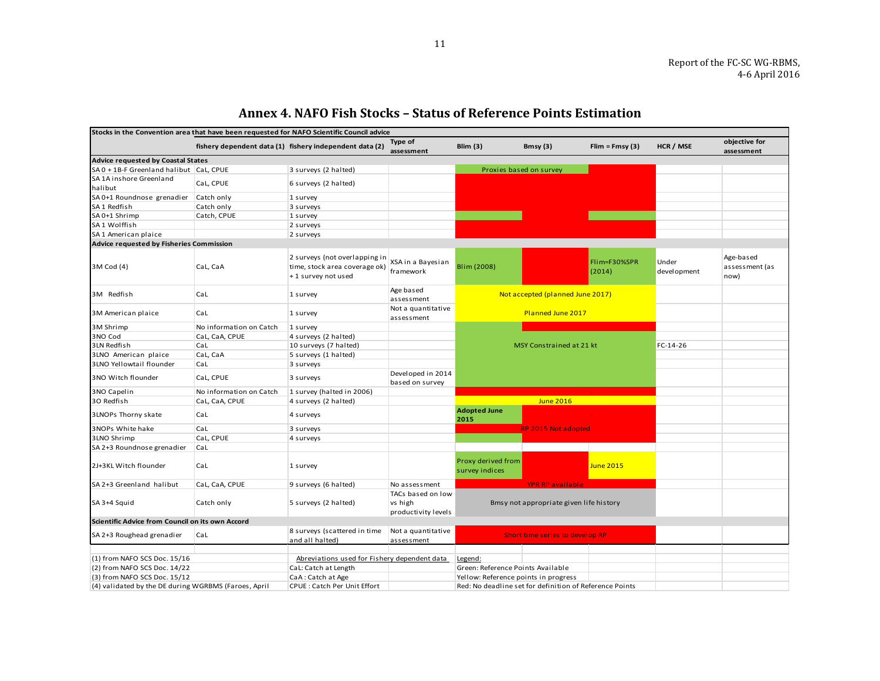<span id="page-11-0"></span>

| Stocks in the Convention area that have been requested for NAFO Scientific Council advice |                         |                                                                                      |                                                     |                                      |                                                         |                        |                       |                                     |
|-------------------------------------------------------------------------------------------|-------------------------|--------------------------------------------------------------------------------------|-----------------------------------------------------|--------------------------------------|---------------------------------------------------------|------------------------|-----------------------|-------------------------------------|
|                                                                                           |                         | fishery dependent data (1) fishery independent data (2)                              | Type of<br>assessment                               | Blim $(3)$                           | Bmsy (3)                                                | $Elim = Fmsy(3)$       | HCR / MSE             | objective for<br>assessment         |
| <b>Advice requested by Coastal States</b>                                                 |                         |                                                                                      |                                                     |                                      |                                                         |                        |                       |                                     |
| SA 0 + 1B-F Greenland halibut CaL, CPUE                                                   |                         | 3 surveys (2 halted)                                                                 |                                                     |                                      | Proxies based on survey                                 |                        |                       |                                     |
| SA 1A inshore Greenland<br>halibut                                                        | CaL, CPUE               | 6 surveys (2 halted)                                                                 |                                                     |                                      |                                                         |                        |                       |                                     |
| SA 0+1 Roundnose grenadier                                                                | Catch only              | 1 survey                                                                             |                                                     |                                      |                                                         |                        |                       |                                     |
| SA 1 Redfish                                                                              | Catch only              | 3 surveys                                                                            |                                                     |                                      |                                                         |                        |                       |                                     |
| SA 0+1 Shrimp                                                                             | Catch, CPUE             | 1 survey                                                                             |                                                     |                                      |                                                         |                        |                       |                                     |
| SA 1 Wolffish                                                                             |                         | 2 surveys                                                                            |                                                     |                                      |                                                         |                        |                       |                                     |
| SA 1 American plaice                                                                      |                         | 2 surveys                                                                            |                                                     |                                      |                                                         |                        |                       |                                     |
| Advice requested by Fisheries Commission                                                  |                         |                                                                                      |                                                     |                                      |                                                         |                        |                       |                                     |
| 3M Cod (4)                                                                                | CaL, CaA                | 2 surveys (not overlapping in<br>time, stock area coverage ok)<br>+1 survey not used | XSA in a Bayesian<br>framework                      | Blim (2008)                          |                                                         | Flim=F30%SPR<br>(2014) | Under<br>devel opment | Age-based<br>assessment (as<br>now) |
| 3M Redfish                                                                                | CaL                     | 1 survey                                                                             | Age based<br>assessment                             |                                      | Not accepted (planned June 2017)                        |                        |                       |                                     |
| 3M American plaice                                                                        | CaL                     | 1 survey                                                                             | Not a quantitative<br>assessment                    |                                      | Planned June 2017                                       |                        |                       |                                     |
| 3M Shrimp                                                                                 | No information on Catch | 1 survey                                                                             |                                                     |                                      |                                                         |                        |                       |                                     |
| 3NO Cod                                                                                   | CaL, CaA, CPUE          | 4 surveys (2 halted)                                                                 |                                                     |                                      |                                                         |                        |                       |                                     |
| 3LN Redfish                                                                               | CaL                     | 10 surveys (7 halted)                                                                |                                                     |                                      | MSY Constrained at 21 kt                                | $FC-14-26$             |                       |                                     |
| 3LNO American plaice                                                                      | CaL, CaA                | 5 surveys (1 halted)                                                                 |                                                     |                                      |                                                         |                        |                       |                                     |
| 3LNO Yellowtail flounder                                                                  | CaL                     | 3 surveys                                                                            |                                                     |                                      |                                                         |                        |                       |                                     |
| 3NO Witch flounder                                                                        | CaL, CPUE               | 3 surveys                                                                            | Developed in 2014<br>based on survey                |                                      |                                                         |                        |                       |                                     |
| 3NO Capelin                                                                               | No information on Catch | 1 survey (halted in 2006)                                                            |                                                     |                                      |                                                         |                        |                       |                                     |
| 30 Redfish                                                                                | CaL, CaA, CPUE          | 4 surveys (2 halted)                                                                 |                                                     |                                      | <b>June 2016</b>                                        |                        |                       |                                     |
| 3LNOPs Thorny skate                                                                       | CaL                     | 4 surveys                                                                            |                                                     | <b>Adopted June</b><br>2015          |                                                         |                        |                       |                                     |
| 3NOPs White hake                                                                          | CaL                     | 3 surveys                                                                            |                                                     |                                      | <b>RP 2015 Not adopted</b>                              |                        |                       |                                     |
| 3LNO Shrimp                                                                               | CaL, CPUE               | 4 surveys                                                                            |                                                     |                                      |                                                         |                        |                       |                                     |
| SA 2+3 Roundnose grenadier                                                                | CaL                     |                                                                                      |                                                     |                                      |                                                         |                        |                       |                                     |
| 2J+3KL Witch flounder                                                                     | CaL                     | 1 survey                                                                             |                                                     | Proxy derived from<br>survey indices |                                                         | June 2015              |                       |                                     |
| SA 2+3 Greenland halibut                                                                  | CaL, CaA, CPUE          | 9 surveys (6 halted)                                                                 | No assessment                                       |                                      | <b>YPR RP available</b>                                 |                        |                       |                                     |
| SA 3+4 Squid                                                                              | Catch only              | 5 surveys (2 halted)                                                                 | TACs based on low<br>vs high<br>productivity levels |                                      | Bmsy not appropriate given life history                 |                        |                       |                                     |
| Scientific Advice from Council on its own Accord                                          |                         |                                                                                      |                                                     |                                      |                                                         |                        |                       |                                     |
| SA 2+3 Roughead grenadier                                                                 | CaL                     | 8 surveys (scattered in time<br>and all halted)                                      | Not a quantitative<br>assessment                    |                                      | Short time series to develop RP                         |                        |                       |                                     |
|                                                                                           |                         |                                                                                      |                                                     |                                      |                                                         |                        |                       |                                     |
| (1) from NAFO SCS Doc. 15/16                                                              |                         | Abreviations used for Fishery dependent data                                         |                                                     | Legend:                              |                                                         |                        |                       |                                     |
| (2) from NAFO SCS Doc. 14/22                                                              |                         | CaL: Catch at Length                                                                 |                                                     | Green: Reference Points Available    |                                                         |                        |                       |                                     |
| (3) from NAFO SCS Doc. 15/12                                                              |                         | CaA: Catch at Age                                                                    |                                                     | Yellow: Reference points in progress |                                                         |                        |                       |                                     |
| (4) validated by the DE during WGRBMS (Faroes, April                                      |                         | CPUE: Catch Per Unit Effort                                                          |                                                     |                                      | Red: No deadline set for definition of Reference Points |                        |                       |                                     |

# **Annex 4. NAFO Fish Stocks – Status of Reference Points Estimation**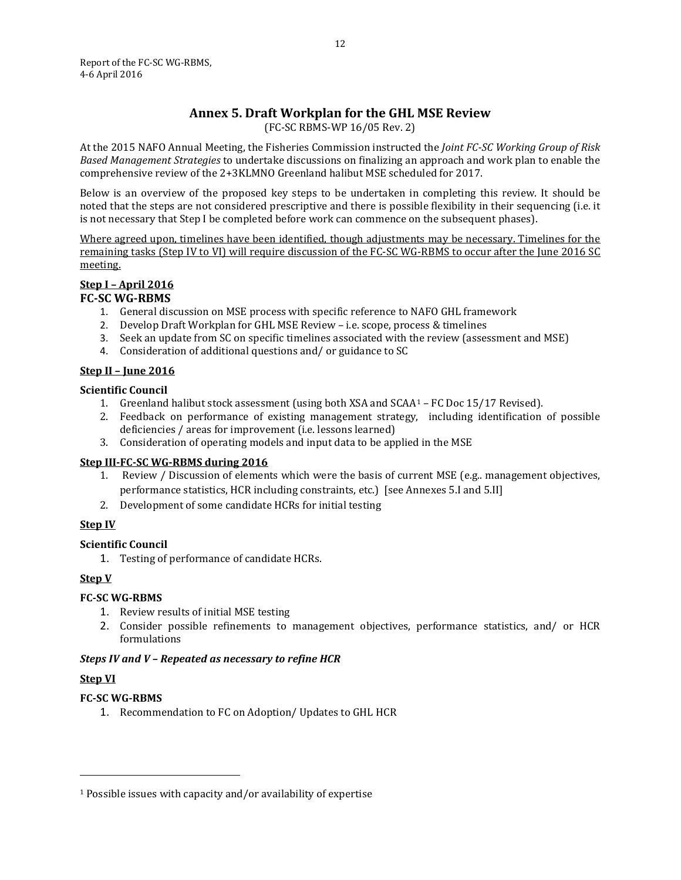# **Annex 5. Draft Workplan for the GHL MSE Review**

(FC-SC RBMS-WP 16/05 Rev. 2)

<span id="page-12-0"></span>At the 2015 NAFO Annual Meeting, the Fisheries Commission instructed the *Joint FC-SC Working Group of Risk Based Management Strategies* to undertake discussions on finalizing an approach and work plan to enable the comprehensive review of the 2+3KLMNO Greenland halibut MSE scheduled for 2017.

Below is an overview of the proposed key steps to be undertaken in completing this review. It should be noted that the steps are not considered prescriptive and there is possible flexibility in their sequencing (i.e. it is not necessary that Step I be completed before work can commence on the subsequent phases).

Where agreed upon, timelines have been identified, though adjustments may be necessary. Timelines for the remaining tasks (Step IV to VI) will require discussion of the FC-SC WG-RBMS to occur after the June 2016 SC meeting.

# **Step I – April 2016**

# **FC-SC WG-RBMS**

- 1. General discussion on MSE process with specific reference to NAFO GHL framework
- 2. Develop Draft Workplan for GHL MSE Review i.e. scope, process & timelines
- 3. Seek an update from SC on specific timelines associated with the review (assessment and MSE)
- 4. Consideration of additional questions and/ or guidance to SC

# **Step II – June 2016**

## **Scientific Council**

- 1. Greenland halibut stock assessment (using both XSA and SCAA[1](#page-12-1) FC Doc 15/17 Revised).
- 2. Feedback on performance of existing management strategy, including identification of possible deficiencies / areas for improvement (i.e. lessons learned)
- 3. Consideration of operating models and input data to be applied in the MSE

# **Step III-FC-SC WG-RBMS during 2016**

- 1. Review / Discussion of elements which were the basis of current MSE (e.g.. management objectives, performance statistics, HCR including constraints, etc.) [see Annexes 5.I and 5.II]
- 2. Development of some candidate HCRs for initial testing

# **Step IV**

# **Scientific Council**

1. Testing of performance of candidate HCRs.

# **Step V**

# **FC-SC WG-RBMS**

- 1. Review results of initial MSE testing
- 2. Consider possible refinements to management objectives, performance statistics, and/ or HCR formulations

### *Steps IV and V – Repeated as necessary to refine HCR*

# **Step VI**

j

# **FC-SC WG-RBMS**

1. Recommendation to FC on Adoption/ Updates to GHL HCR

<span id="page-12-1"></span><sup>1</sup> Possible issues with capacity and/or availability of expertise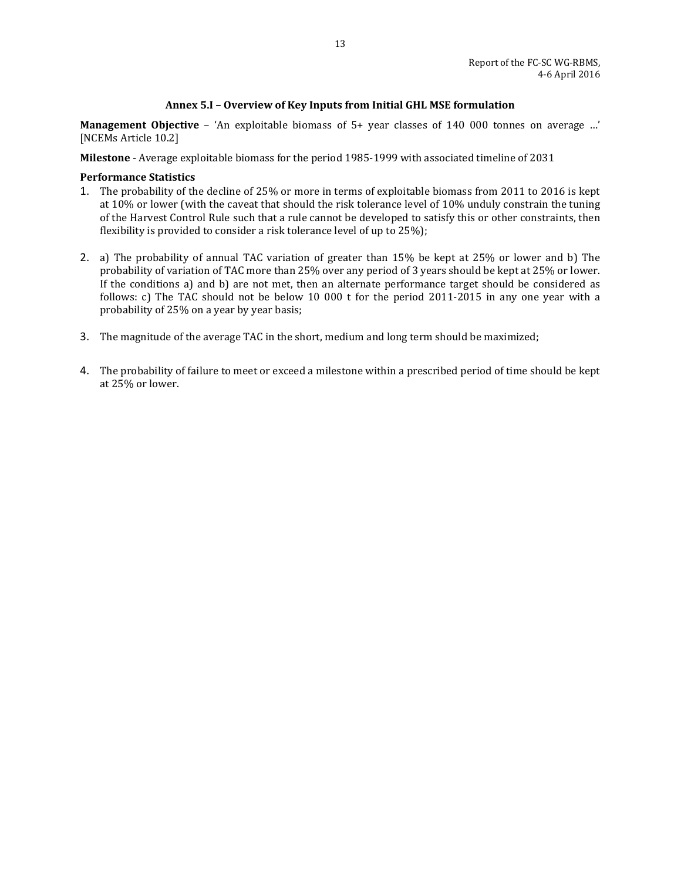### **Annex 5.I – Overview of Key Inputs from Initial GHL MSE formulation**

**Management Objective** – 'An exploitable biomass of 5+ year classes of 140 000 tonnes on average …' [NCEMs Article 10.2]

**Milestone** - Average exploitable biomass for the period 1985-1999 with associated timeline of 2031

### **Performance Statistics**

- 1. The probability of the decline of 25% or more in terms of exploitable biomass from 2011 to 2016 is kept at 10% or lower (with the caveat that should the risk tolerance level of 10% unduly constrain the tuning of the Harvest Control Rule such that a rule cannot be developed to satisfy this or other constraints, then flexibility is provided to consider a risk tolerance level of up to 25%);
- 2. a) The probability of annual TAC variation of greater than 15% be kept at 25% or lower and b) The probability of variation of TAC more than 25% over any period of 3 years should be kept at 25% or lower. If the conditions a) and b) are not met, then an alternate performance target should be considered as follows: c) The TAC should not be below 10 000 t for the period 2011-2015 in any one year with a probability of 25% on a year by year basis;
- 3. The magnitude of the average TAC in the short, medium and long term should be maximized;
- 4. The probability of failure to meet or exceed a milestone within a prescribed period of time should be kept at 25% or lower.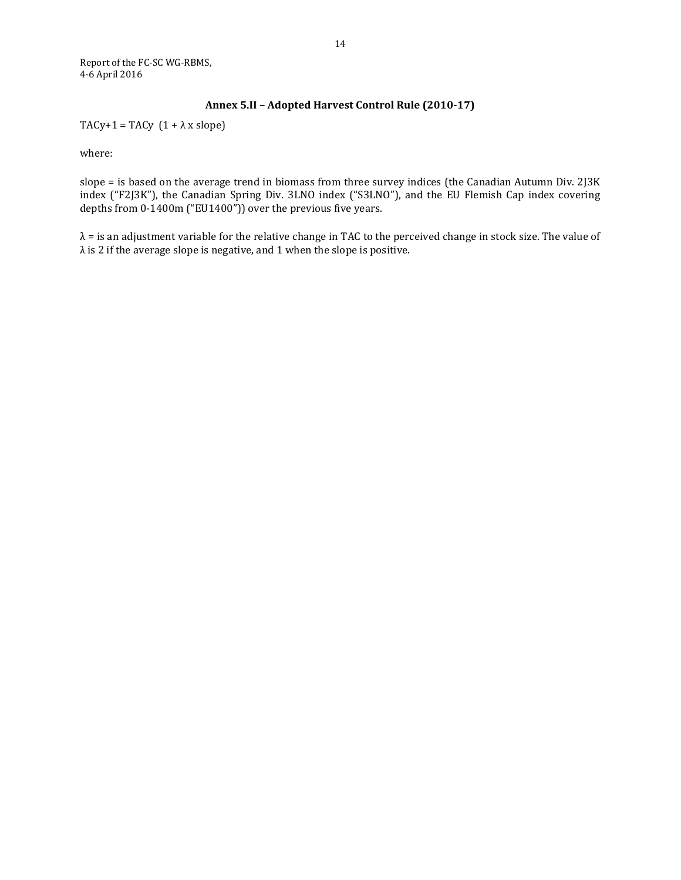Report of the FC-SC WG-RBMS, 4-6 April 2016

## **Annex 5.II – Adopted Harvest Control Rule (2010-17)**

TACy+1 = TACy  $(1 + \lambda x \text{ slope})$ 

where:

slope = is based on the average trend in biomass from three survey indices (the Canadian Autumn Div. 2J3K index ("F2J3K"), the Canadian Spring Div. 3LNO index ("S3LNO"), and the EU Flemish Cap index covering depths from 0-1400m ("EU1400")) over the previous five years.

 $\lambda$  = is an adjustment variable for the relative change in TAC to the perceived change in stock size. The value of  $\lambda$  is 2 if the average slope is negative, and 1 when the slope is positive.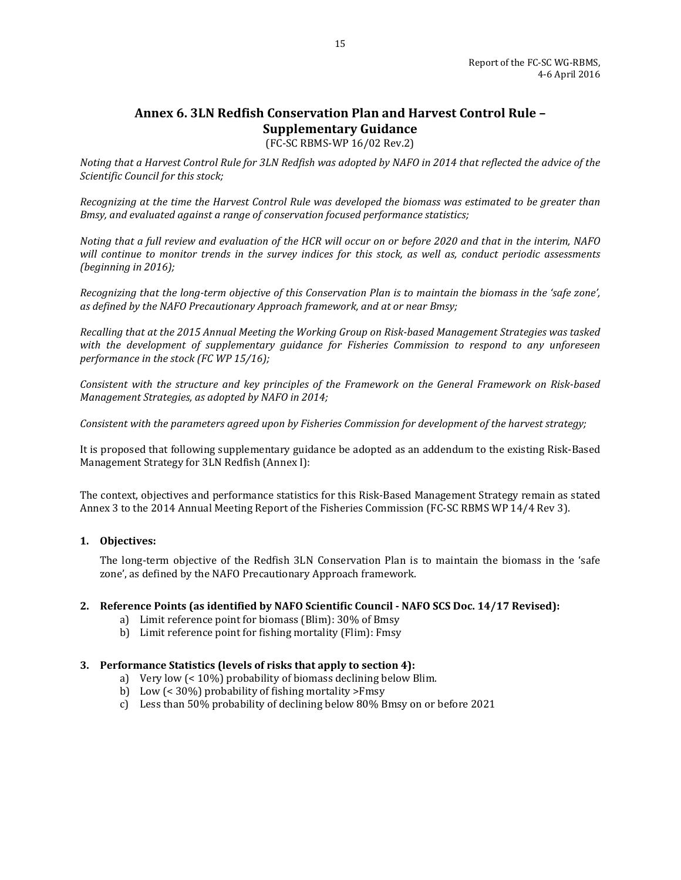# <span id="page-15-0"></span>**Annex 6. 3LN Redfish Conservation Plan and Harvest Control Rule – Supplementary Guidance**

(FC-SC RBMS-WP 16/02 Rev.2)

*Noting that a Harvest Control Rule for 3LN Redfish was adopted by NAFO in 2014 that reflected the advice of the Scientific Council for this stock;*

*Recognizing at the time the Harvest Control Rule was developed the biomass was estimated to be greater than Bmsy, and evaluated against a range of conservation focused performance statistics;* 

*Noting that a full review and evaluation of the HCR will occur on or before 2020 and that in the interim, NAFO will continue to monitor trends in the survey indices for this stock, as well as, conduct periodic assessments (beginning in 2016);*

*Recognizing that the long-term objective of this Conservation Plan is to maintain the biomass in the 'safe zone', as defined by the NAFO Precautionary Approach framework, and at or near Bmsy;*

*Recalling that at the 2015 Annual Meeting the Working Group on Risk-based Management Strategies was tasked with the development of supplementary guidance for Fisheries Commission to respond to any unforeseen performance in the stock (FC WP 15/16);*

*Consistent with the structure and key principles of the Framework on the General Framework on Risk-based Management Strategies, as adopted by NAFO in 2014;*

*Consistent with the parameters agreed upon by Fisheries Commission for development of the harvest strategy;*

It is proposed that following supplementary guidance be adopted as an addendum to the existing Risk-Based Management Strategy for 3LN Redfish (Annex I):

The context, objectives and performance statistics for this Risk-Based Management Strategy remain as stated Annex 3 to the 2014 Annual Meeting Report of the Fisheries Commission (FC-SC RBMS WP 14/4 Rev 3).

### **1. Objectives:**

The long-term objective of the Redfish 3LN Conservation Plan is to maintain the biomass in the 'safe zone', as defined by the NAFO Precautionary Approach framework.

### **2. Reference Points (as identified by NAFO Scientific Council - NAFO SCS Doc. 14/17 Revised):**

- a) Limit reference point for biomass (Blim): 30% of Bmsy
- b) Limit reference point for fishing mortality (Flim): Fmsy

#### **3. Performance Statistics (levels of risks that apply to section 4):**

- a) Very low (< 10%) probability of biomass declining below Blim.
- b) Low (< 30%) probability of fishing mortality >Fmsy
- c) Less than 50% probability of declining below 80% Bmsy on or before 2021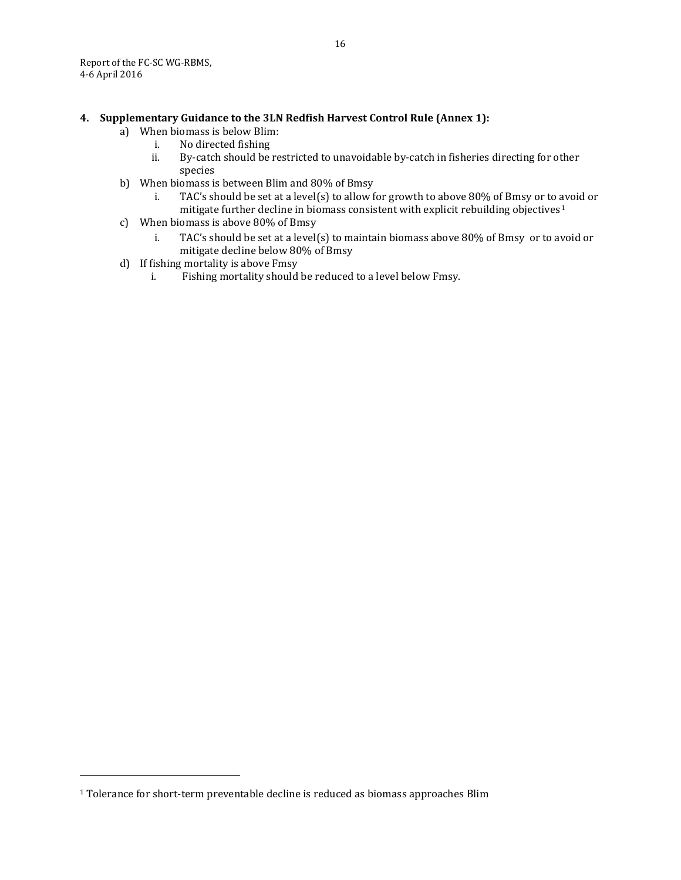## **4. Supplementary Guidance to the 3LN Redfish Harvest Control Rule (Annex 1):**

- a) When biomass is below Blim:<br>i. No directed fishing
	- i. No directed fishing<br>ii. By-catch should be
	- By-catch should be restricted to unavoidable by-catch in fisheries directing for other species
- b) When biomass is between Blim and 80% of Bmsy<br>i. TAC's should be set at a level(s) to allow f
	- TAC's should be set at a level(s) to allow for growth to above 80% of Bmsy or to avoid or mitigate further decline in biomass consistent with explicit rebuilding objectives<sup>[1](#page-16-0)</sup>
- c) When biomass is above 80% of Bmsy
	- TAC's should be set at a level(s) to maintain biomass above 80% of Bmsy or to avoid or mitigate decline below 80% of Bmsy
- d) If fishing mortality is above Fmsy<br>i. Fishing mortality should
	- Fishing mortality should be reduced to a level below Fmsy.

j

<span id="page-16-0"></span><sup>&</sup>lt;sup>1</sup> Tolerance for short-term preventable decline is reduced as biomass approaches Blim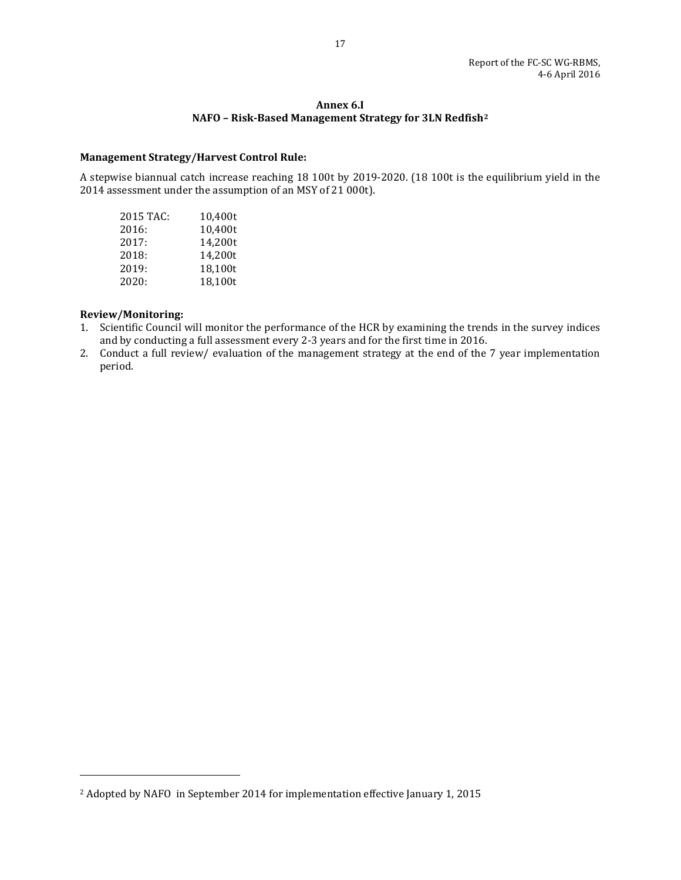### **Annex 6.I NAFO – Risk-Based Management Strategy for 3LN Redfish[2](#page-17-0)**

#### **Management Strategy/Harvest Control Rule:**

A stepwise biannual catch increase reaching 18 100t by 2019-2020. (18 100t is the equilibrium yield in the 2014 assessment under the assumption of an MSY of 21 000t).

| 2015 TAC: | 10.400t |
|-----------|---------|
| 2016:     | 10,400t |
| 2017:     | 14,200t |
| 2018:     | 14,200t |
| 2019:     | 18.100t |
| 2020:     | 18,100t |
|           |         |

### **Review/Monitoring:**

j

- 1. Scientific Council will monitor the performance of the HCR by examining the trends in the survey indices and by conducting a full assessment every 2-3 years and for the first time in 2016.
- 2. Conduct a full review/ evaluation of the management strategy at the end of the 7 year implementation period.

<span id="page-17-0"></span><sup>2</sup> Adopted by NAFO in September 2014 for implementation effective January 1, 2015